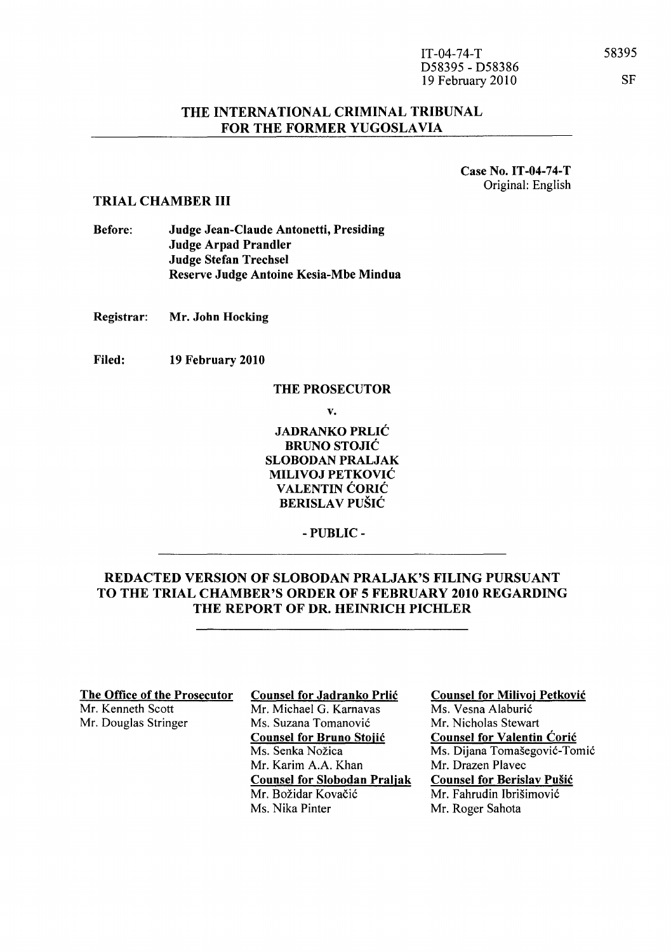| $IT-04-74-T$     |
|------------------|
| D58395 - D58386  |
| 19 February 2010 |

### THE INTERNATIONAL CRIMINAL TRIBUNAL FOR THE FORMER YUGOSLAVIA

Case No. IT-04-74-T Original: English

#### TRIAL CHAMBER III

Before: Judge Jean-Claude Antonetti, Presiding Judge Arpad Prandler Judge Stefan Trechsel Reserve Judge Antoine Kesia-Mbe Mindua

Registrar: Mr. John Hocking

Filed: 19 February 2010

#### THE PROSECUTOR

v.

JADRANKO PRLIC BRUNO STOJIĆ SLOBODAN PRALJAK MILIVOJ PETKOVIC VALENTIN ĆORIĆ BERISLAV PUŠIĆ

- PUBLIC-

## REDACTED VERSION OF SLOBODAN PRALJAK'S FILING PURSUANT TO THE TRIAL CHAMBER'S ORDER OF 5 FEBRUARY 2010 REGARDING THE REPORT OF DR. HEINRICH PICHLER

The Office of the Prosecutor<br>Mr. Kenneth Scott<br>Mr. Michael G. Karnavas Mr. Douglas Stringer Ms. Suzana Tomanović

Mr. Michael G. Karnavas Counsel for Bruno Stojic Ms. Senka Nožica Mr. Karim A.A. Khan Counsel for Slobodan Praljak Mr. Božidar Kovačić Ms. Nika Pinter

Counsel for Milivoj Petkovic Ms. Vesna Alaburic Mr. Nicholas Stewart Counsel for Valentin Coric Ms. Dijana Tomašegović-Tomić Mr. Drazen Plavec Counsel for Berislav Pusic Mr. Fahrudin Ibrišimović Mr. Roger Sahota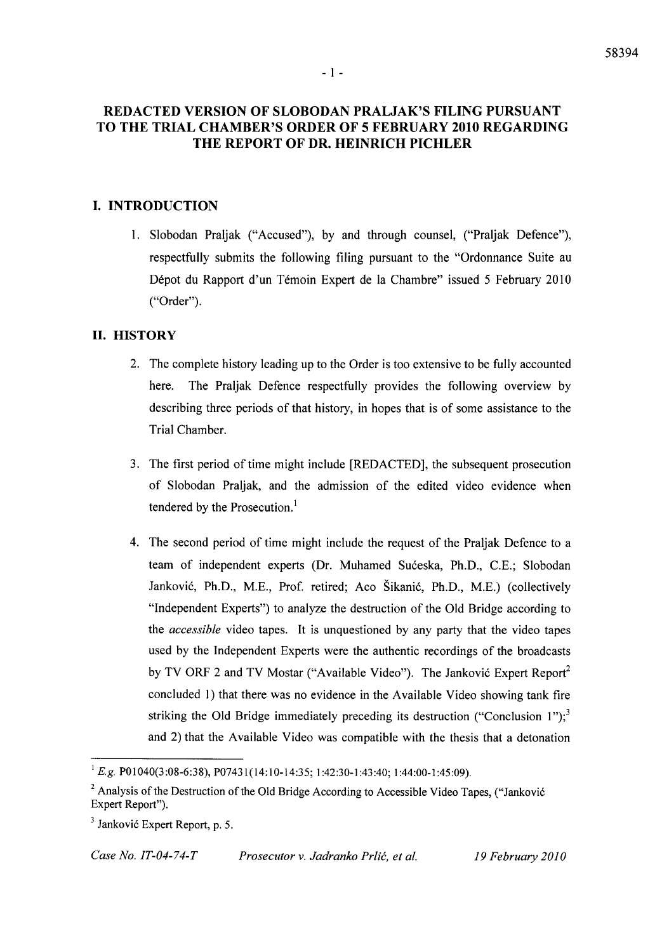#### - 1 -

# **REDACTED VERSION OF SLOBODAN PRALJAK'S FILING PURSUANT TO THE TRIAL CHAMBER'S ORDER OF 5 FEBRUARY 2010 REGARDING THE REPORT OF DR. HEINRICH PICHLER**

# **I. INTRODUCTION**

1. Slobodan Praljak ("Accused"), by and through counsel, ("Praljak Defence"), respectfully submits the following filing pursuant to the "Ordonnance Suite au Dépot du Rapport d'un Témoin Expert de la Chambre" issued 5 February 2010 ("Order").

### **11. HISTORY**

- 2. The complete history leading up to the Order is too extensive to be fully accounted here. The Praljak Defence respectfully provides the following overview by describing three periods of that history, in hopes that is of some assistance to the Trial Chamber.
- 3. The first period of time might include [REDACTED], the subsequent prosecution of Slobodan Praljak, and the admission of the edited video evidence when tendered by the Prosecution.<sup>1</sup>
- 4. The second period of time might include the request of the Praljak Defence to a team of independent experts (Dr. Muhamed Suceska, Ph.D., C.E.; Slobodan lankovic, Ph.D., M.E., Prof. retired; Aco Sikanic, Ph.D., M.E.) (collectively "Independent Experts") to analyze the destruction of the Old Bridge according to the *accessible* video tapes. It is unquestioned by any party that the video tapes used by the Independent Experts were the authentic recordings of the broadcasts by TV ORF 2 and TV Mostar ("Available Video"). The Janković Expert Report<sup>2</sup> concluded 1) that there was no evidence in the Available Video showing tank fire striking the Old Bridge immediately preceding its destruction ("Conclusion 1");<sup>3</sup> and 2) that the Available Video was compatible with the thesis that a detonation

*Case No. IT-04-74-T Prosecutor v. Jadranko Prlic, et al. 19 February 2010* 

<sup>&</sup>lt;sup>1</sup> E.g. P01040(3:08-6:38), P07431(14:10-14:35; 1:42:30-1:43:40; 1:44:00-1:45:09).

<sup>&</sup>lt;sup>2</sup> Analysis of the Destruction of the Old Bridge According to Accessible Video Tapes, ("Janković Expert Report").

 $3$  Janković Expert Report, p. 5.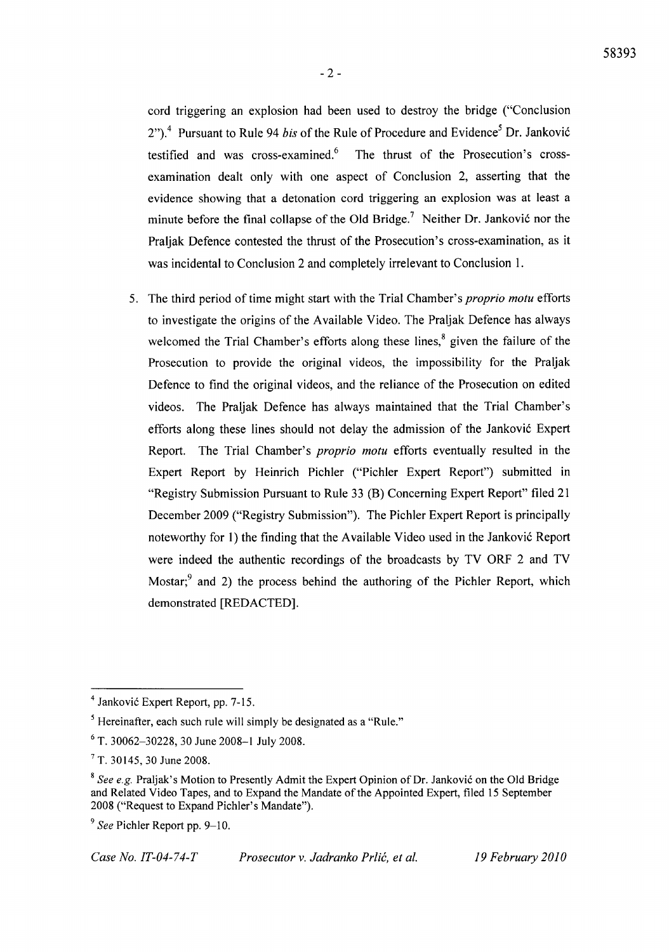cord triggering an explosion had been used to destroy the bridge ("Conclusion 2").<sup>4</sup> Pursuant to Rule 94 *bis* of the Rule of Procedure and Evidence<sup>5</sup> Dr. Janković testified and was cross-examined. $6$  The thrust of the Prosecution's crossexamination dealt only with one aspect of Conclusion 2, asserting that the evidence showing that a detonation cord triggering an explosion was at least a minute before the final collapse of the Old Bridge.<sup>7</sup> Neither Dr. Janković nor the Praljak Defence contested the thrust of the Prosecution's cross-examination, as it was incidental to Conclusion 2 and completely irrelevant to Conclusion 1.

5. The third period of time might start with the Trial Chamber's *proprio motu* efforts to investigate the origins of the Available Video. The Praljak Defence has always welcomed the Trial Chamber's efforts along these lines, $\delta$  given the failure of the Prosecution to provide the original videos, the impossibility for the Praljak Defence to find the original videos, and the reliance of the Prosecution on edited videos. The Praljak Defence has always maintained that the Trial Chamber's efforts along these lines should not delay the admission of the Janković Expert Report. The Trial Chamber's *proprio motu* efforts eventually resulted in the Expert Report by Heinrich Pichler ("Pichler Expert Report") submitted in "Registry Submission Pursuant to Rule 33 (B) Concerning Expert Report" filed 21 December 2009 ("Registry Submission"). The Pichler Expert Report is principally noteworthy for 1) the finding that the Available Video used in the Janković Report were indeed the authentic recordings of the broadcasts by TV ORF 2 and TV Mostar; $9$  and 2) the process behind the authoring of the Pichler Report, which demonstrated [REDACTED].

<sup>&</sup>lt;sup>4</sup> Janković Expert Report, pp. 7-15.

<sup>5</sup> Hereinafter, each such rule will simply be designated as a "Rule."

 $6$  T. 30062-30228, 30 June 2008-1 July 2008.

<sup>7</sup> T. 30145, 30 June 2008.

<sup>&</sup>lt;sup>8</sup> See e.g. Praljak's Motion to Presently Admit the Expert Opinion of Dr. Janković on the Old Bridge and Related Video Tapes, and to Expand the Mandate of the Appointed Expert, filed 15 September 2008 ("Request to Expand Pichler's Mandate").

<sup>&</sup>lt;sup>9</sup> See Pichler Report pp. 9–10.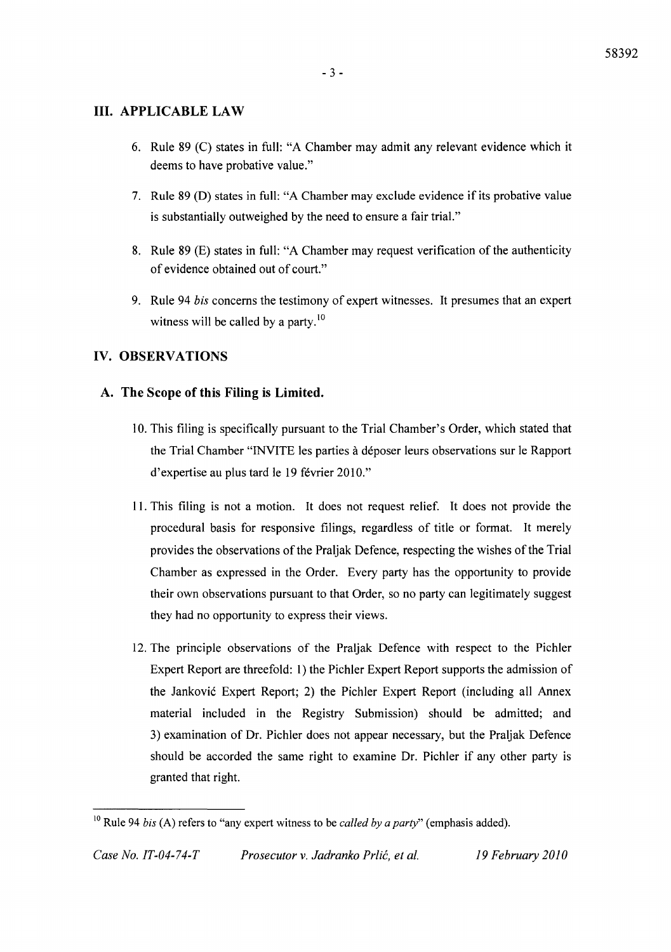## **III. APPLICABLE LAW**

- 6. Rule 89 (C) states in full: "A Chamber may admit any relevant evidence which it deems to have probative value."
- 7. Rule 89 (D) states in full: "A Chamber may exclude evidence if its probative value is substantially outweighed by the need to ensure a fair trial."
- 8. Rule 89 (E) states in full: "A Chamber may request verification of the authenticity of evidence obtained out of court."
- 9. Rule 94 *bis* concerns the testimony of expert witnesses. It presumes that an expert witness will be called by a party. $\frac{10}{10}$

# IV. OBSERVATIONS

## A. The Scope of this Filing is Limited.

- 10. This filing is specifically pursuant to the Trial Chamber's Order, which stated that the Trial Chamber "INVITE les parties à déposer leurs observations sur le Rapport d'expertise au plus tard le 19 février 2010."
- 11. This filing is not a motion. It does not request relief. It does not provide the procedural basis for responsive filings, regardless of title or format. It merely provides the observations of the Praljak Defence, respecting the wishes of the Trial Chamber as expressed in the Order. Every party has the opportunity to provide their own observations pursuant to that Order, so no party can legitimately suggest they had no opportunity to express their views.
- 12. The principle observations of the Praljak Defence with respect to the Pichler Expert Report are threefold: 1) the Pichler Expert Report supports the admission of the lankovic Expert Report; 2) the Pichler Expert Report (including all Annex material included in the Registry Submission) should be admitted; and 3) examination of Dr. Pichler does not appear necessary, but the Praljak Defence should be accorded the same right to examine Dr. Pichler if any other party is granted that right.

<sup>10</sup> Rule 94 *bis* (A) refers to "any expert witness to be *called by a party"* (emphasis added).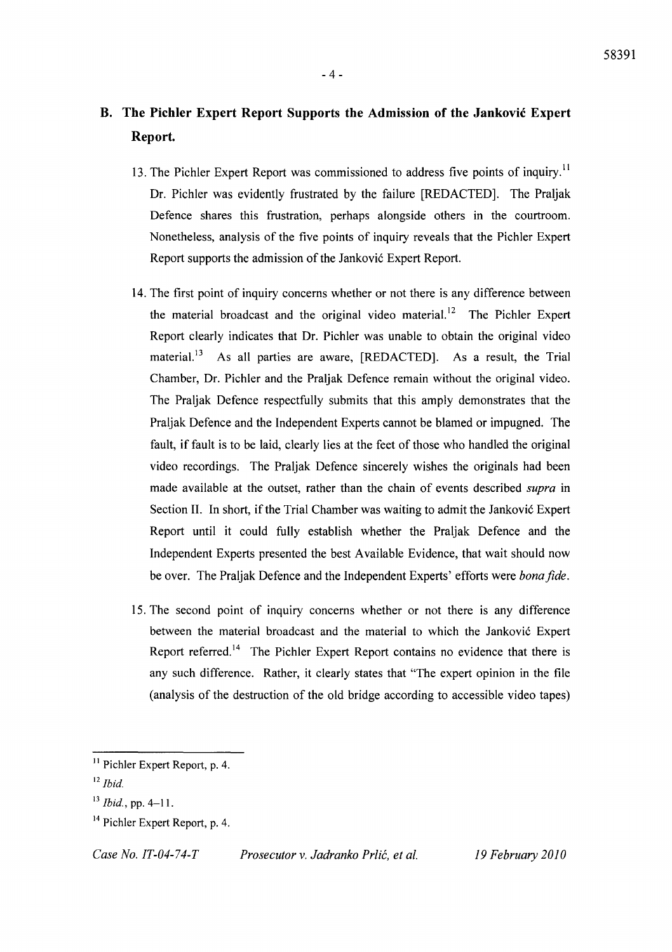# **B. The Pichler Expert Report Supports the Admission of the Jankovic Expert Report.**

- 13. The Pichler Expert Report was commissioned to address five points of inquiry.<sup>11</sup> Dr. Pichler was evidently frustrated by the failure [REDACTED]. The Praljak Defence shares this frustration, perhaps alongside others in the courtroom. Nonetheless, analysis of the five points of inquiry reveals that the Pichler Expert Report supports the admission of the Janković Expert Report.
- 14. The first point of inquiry concerns whether or not there is any difference between the material broadcast and the original video material.<sup>12</sup> The Pichler Expert Report clearly indicates that Dr. Pichler was unable to obtain the original video material.<sup>13</sup> As all parties are aware, [REDACTED]. As a result, the Trial Chamber, Dr. Pichler and the Praljak Defence remain without the original video. The Praljak Defence respectfully submits that this amply demonstrates that the Praljak Defence and the Independent Experts cannot be blamed or impugned. The fault, if fault is to be laid, clearly lies at the feet of those who handled the original video recordings. The Praljak Defence sincerely wishes the originals had been made available at the outset, rather than the chain of events described *supra* in Section II. In short, if the Trial Chamber was waiting to admit the Janković Expert Report until it could fully establish whether the Praljak Defence and the Independent Experts presented the best Available Evidence, that wait should now be over. The Praljak Defence and the Independent Experts' efforts were *bonajide.*
- 15. The second point of inquiry concerns whether or not there is any difference between the material broadcast and the material to which the Janković Expert Report referred.<sup>14</sup> The Pichler Expert Report contains no evidence that there is any such difference. Rather, it clearly states that "The expert opinion in the file (analysis of the destruction of the old bridge according to accessible video tapes)

<sup>&</sup>lt;sup>11</sup> Pichler Expert Report, p. 4.

<sup>12</sup>*Ibid.* 

<sup>13</sup>*Ibid.,* pp. 4-1l.

<sup>&</sup>lt;sup>14</sup> Pichler Expert Report, p. 4.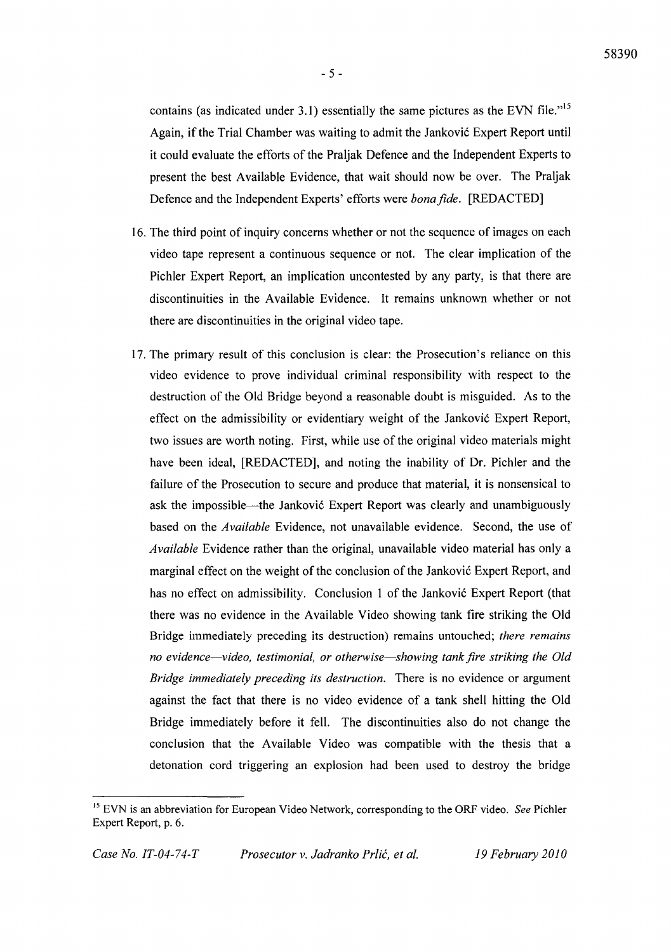$-5 -$ 

contains (as indicated under 3.1) essentially the same pictures as the EVN file. $v^{15}$ Again, if the Trial Chamber was waiting to admit the Janković Expert Report until it could evaluate the efforts of the Praljak Defence and the Independent Experts to present the best Available Evidence, that wait should now be over. The Praljak Defence and the Independent Experts' efforts were *bonafide.* [REDACTED]

- 16. The third point of inquiry concerns whether or not the sequence of images on each video tape represent a continuous sequence or not. The clear implication of the Pichler Expert Report, an implication uncontested by any party, is that there are discontinuities in the Available Evidence. It remains unknown whether or not there are discontinuities in the original video tape.
- 17. The primary result of this conclusion is clear: the Prosecution's reliance on this video evidence to prove individual criminal responsibility with respect to the destruction of the Old Bridge beyond a reasonable doubt is misguided. As to the effect on the admissibility or evidentiary weight of the Janković Expert Report, two issues are worth noting. First, while use of the original video materials might have been ideal, [REDACTED], and noting the inability of Dr. Pichler and the failure of the Prosecution to secure and produce that material, it is nonsensical to ask the impossible—the Janković Expert Report was clearly and unambiguously based on the *Available* Evidence, not unavailable evidence. Second, the use of *Available* Evidence rather than the original, unavailable video material has only a marginal effect on the weight of the conclusion of the Janković Expert Report, and has no effect on admissibility. Conclusion 1 of the Janković Expert Report (that there was no evidence in the Available Video showing tank fire striking the Old Bridge immediately preceding its destruction) remains untouched; *there remains no evidence-video, testimonial, or otherwise-showing tank fire striking the Old Bridge immediately preceding its destruction.* There is no evidence or argument against the fact that there is no video evidence of a tank shell hitting the Old Bridge immediately before it fell. The discontinuities also do not change the conclusion that the Available Video was compatible with the thesis that a detonation cord triggering an explosion had been used to destroy the bridge

<sup>15</sup> EVN is an abbreviation for European Video Network, corresponding to the ORF video. *See* Pichler Expert Report, p. 6.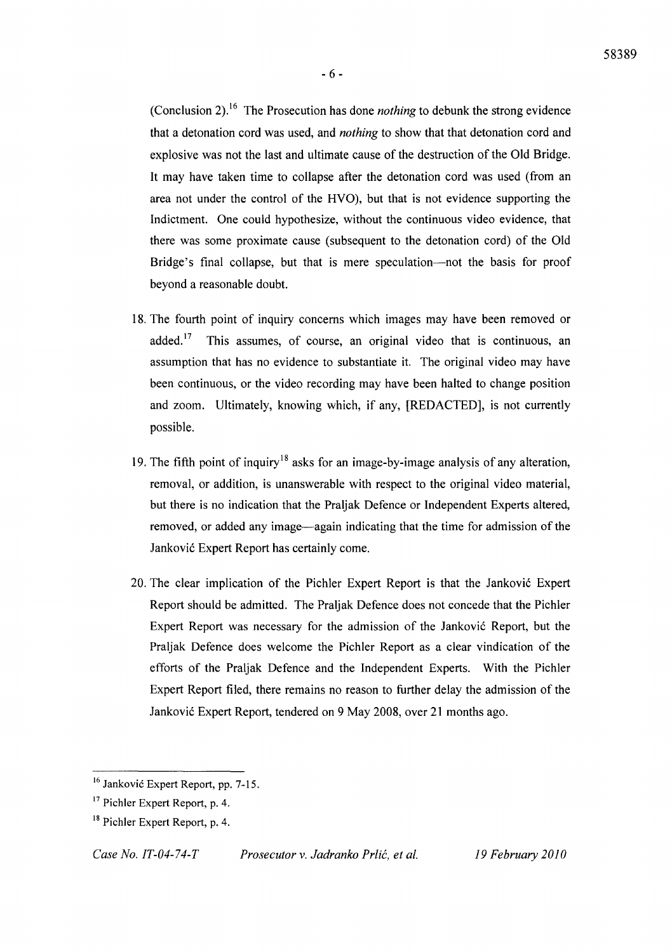(Conclusion 2).16 The Prosecution has done *nothing* to debunk the strong evidence that a detonation cord was used, and *nothing* to show that that detonation cord and explosive was not the last and ultimate cause of the destruction of the Old Bridge. It may have taken time to collapse after the detonation cord was used (from an area not under the control of the HVO), but that is not evidence supporting the Indictment. One could hypothesize, without the continuous video evidence, that there was some proximate cause (subsequent to the detonation cord) of the Old Bridge's final collapse, but that is mere speculation—not the basis for proof beyond a reasonable doubt.

- 18. The fourth point of inquiry concerns which images may have been removed or added.<sup>17</sup> This assumes, of course, an original video that is continuous, an assumption that has no evidence to substantiate it. The original video may have been continuous, or the video recording may have been halted to change position and zoom. Ultimately, knowing which, if any, [REDACTED], is not currently possible.
- 19. The fifth point of inquiry<sup>18</sup> asks for an image-by-image analysis of any alteration, removal, or addition, is unanswerable with respect to the original video material, but there is no indication that the Praljak Defence or Independent Experts altered, removed, or added any image-again indicating that the time for admission of the lankovi6 Expert Report has certainly come.
- 20. The clear implication of the Pichler Expert Report is that the lankovi6 Expert Report should be admitted. The Praljak Defence does not concede that the Pichler Expert Report was necessary for the admission of the Janković Report, but the Praljak Defence does welcome the Pichler Report as a clear vindication of the efforts of the Praljak Defence and the Independent Experts. With the Pichler Expert Report filed, there remains no reason to further delay the admission of the lankovi6 Expert Report, tendered on 9 May 2008, over 21 months ago.

*Case No. IT-04-74-T Prosecutor* v. *Jadranko Prlic, et al. 19 February 2010* 

<sup>&</sup>lt;sup>16</sup> Janković Expert Report, pp. 7-15.

<sup>&</sup>lt;sup>17</sup> Pichler Expert Report, p. 4.

<sup>&</sup>lt;sup>18</sup> Pichler Expert Report, p. 4.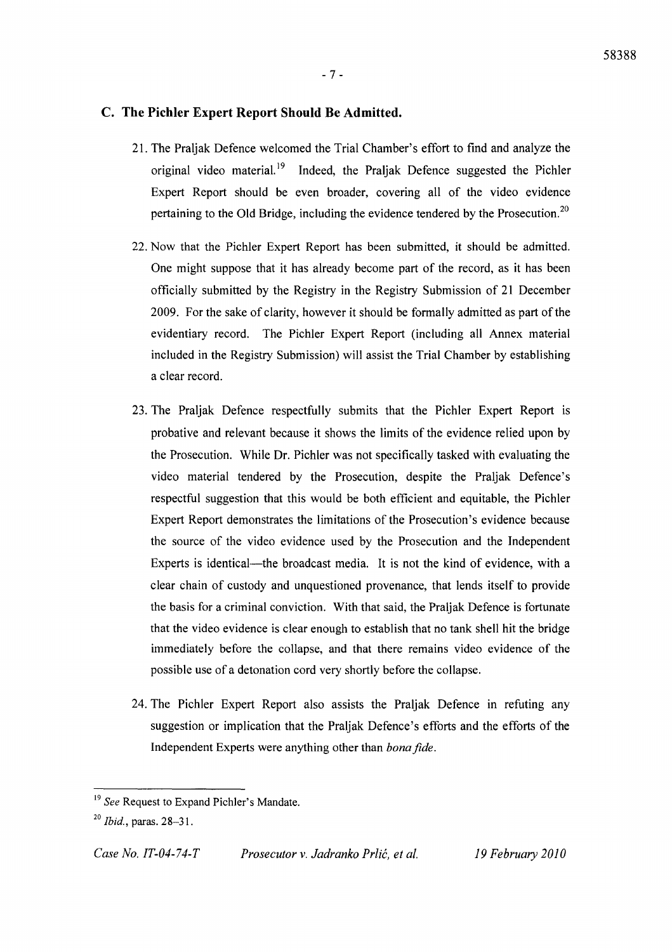### C. **The Pichler Expert Report Should Be Admitted.**

- 21. The Praljak Defence welcomed the Trial Chamber's effort to find and analyze the original video material.<sup>19</sup> Indeed, the Praljak Defence suggested the Pichler Expert Report should be even broader, covering all of the video evidence pertaining to the Old Bridge, including the evidence tendered by the Prosecution.2o
- 22. Now that the Pichler Expert Report has been submitted, it should be admitted. One might suppose that it has already become part of the record, as it has been officially submitted by the Registry in the Registry Submission of 21 December 2009. For the sake of clarity, however it should be formally admitted as part of the evidentiary record. The Pichler Expert Report (including all Annex material included in the Registry Submission) will assist the Trial Chamber by establishing a clear record.
- 23. The Praljak Defence respectfully submits that the Pichler Expert Report is probative and relevant because it shows the limits of the evidence relied upon by the Prosecution. While Dr. Pichler was not specifically tasked with evaluating the video material tendered by the Prosecution, despite the Praljak Defence's respectful suggestion that this would be both efficient and equitable, the Pichler Expert Report demonstrates the limitations of the Prosecution's evidence because the source of the video evidence used by the Prosecution and the Independent Experts is identical—the broadcast media. It is not the kind of evidence, with a clear chain of custody and unquestioned provenance, that lends itself to provide the basis for a criminal conviction. With that said, the Praljak Defence is fortunate that the video evidence is clear enough to establish that no tank shell hit the bridge immediately before the collapse, and that there remains video evidence of the possible use of a detonation cord very shortly before the collapse.
- 24. The Pichler Expert Report also assists the Praljak Defence in refuting any suggestion or implication that the Praljak Defence's efforts and the efforts of the Independent Experts were anything other than *bona fide.*

*Case No. IT-04-74-T Prosecutor* v. *Jadranko Prlic, et al. 19 February 2010* 

<sup>19</sup>*See* Request to Expand Pichler's Mandate.

*<sup>20</sup> Ibid.,* paras. 28-31.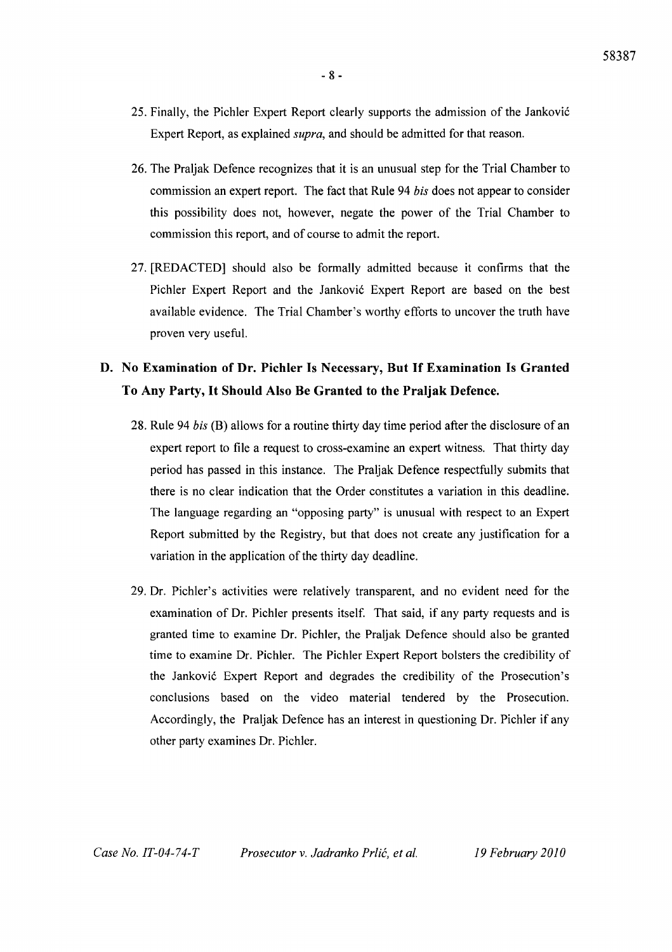- 8 -
- 25. Finally, the Pichler Expert Report clearly supports the admission of the Jankovi6 Expert Report, as explained *supra,* and should be admitted for that reason.
- 26. The Praljak Defence recognizes that it is an unusual step for the Trial Chamber to commission an expert report. The fact that Rule 94 *bis* does not appear to consider this possibility does not, however, negate the power of the Trial Chamber to commission this report, and of course to admit the report.
- 27. [REDACTED] should also be formally admitted because it confirms that the Pichler Expert Report and the Janković Expert Report are based on the best available evidence. The Trial Chamber's worthy efforts to uncover the truth have proven very useful.

# D. No Examination of Dr. Pichler Is Necessary, But If Examination Is Granted To Any Party, It Should Also Be Granted to the Praljak Defence.

- 28. Rule 94 *bis* (B) allows for a routine thirty day time period after the disclosure of an expert report to file a request to cross-examine an expert witness. That thirty day period has passed in this instance. The Praljak Defence respectfully submits that there is no clear indication that the Order constitutes a variation in this deadline. The language regarding an "opposing party" is unusual with respect to an Expert Report submitted by the Registry, but that does not create any justification for a variation in the application of the thirty day deadline.
- 29. Dr. Pichler's activities were relatively transparent, and no evident need for the examination of Dr. Pichler presents itself. That said, if any party requests and is granted time to examine Dr. Pichler, the Praljak Defence should also be granted time to examine Dr. Pichler. The Pichler Expert Report bolsters the credibility of the Jankovi6 Expert Report and degrades the credibility of the Prosecution's conclusions based on the video material tendered by the Prosecution. Accordingly, the Praljak Defence has an interest in questioning Dr. Pichler if any other party examines Dr. Pichler.